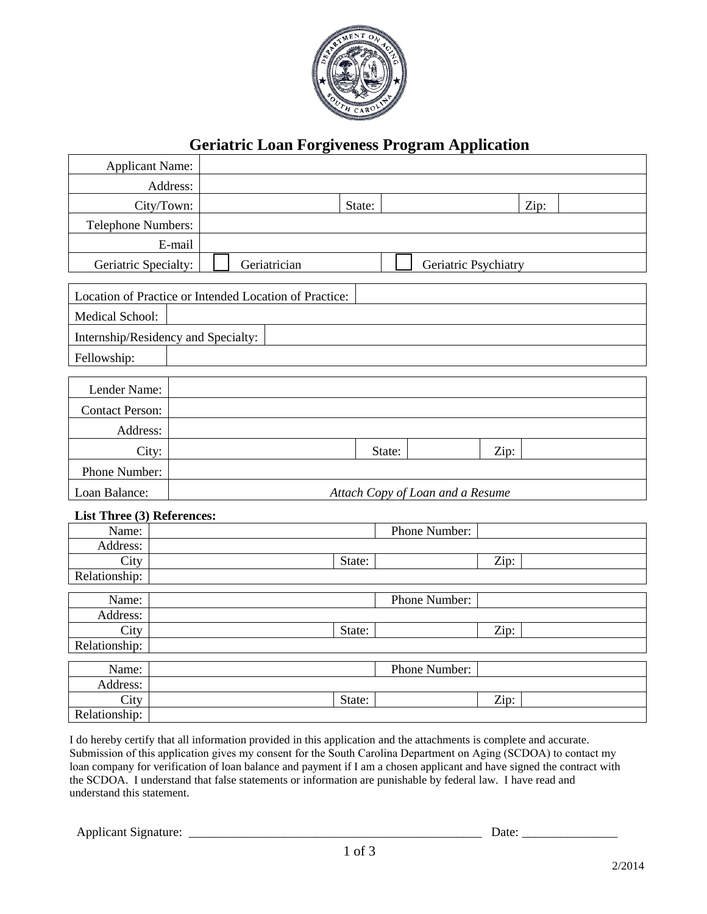

# **Geriatric Loan Forgiveness Program Application**

| <b>Applicant Name:</b>                                 |                                      |  |        |        |               |      |      |  |  |  |
|--------------------------------------------------------|--------------------------------------|--|--------|--------|---------------|------|------|--|--|--|
|                                                        | Address:                             |  |        |        |               |      |      |  |  |  |
| City/Town:                                             |                                      |  | State: |        |               |      | Zip: |  |  |  |
| Telephone Numbers:                                     |                                      |  |        |        |               |      |      |  |  |  |
|                                                        | E-mail                               |  |        |        |               |      |      |  |  |  |
| Geriatric Specialty:                                   | Geriatrician<br>Geriatric Psychiatry |  |        |        |               |      |      |  |  |  |
|                                                        |                                      |  |        |        |               |      |      |  |  |  |
| Location of Practice or Intended Location of Practice: |                                      |  |        |        |               |      |      |  |  |  |
| Medical School:                                        |                                      |  |        |        |               |      |      |  |  |  |
| Internship/Residency and Specialty:                    |                                      |  |        |        |               |      |      |  |  |  |
| Fellowship:                                            |                                      |  |        |        |               |      |      |  |  |  |
|                                                        |                                      |  |        |        |               |      |      |  |  |  |
| Lender Name:                                           |                                      |  |        |        |               |      |      |  |  |  |
| <b>Contact Person:</b>                                 |                                      |  |        |        |               |      |      |  |  |  |
| Address:                                               |                                      |  |        |        |               |      |      |  |  |  |
| City:                                                  |                                      |  |        | State: |               | Zip: |      |  |  |  |
| Phone Number:                                          |                                      |  |        |        |               |      |      |  |  |  |
| Loan Balance:                                          | Attach Copy of Loan and a Resume     |  |        |        |               |      |      |  |  |  |
| List Three (3) References:                             |                                      |  |        |        |               |      |      |  |  |  |
| Name:                                                  |                                      |  |        |        | Phone Number: |      |      |  |  |  |
| Address:                                               |                                      |  |        |        |               |      |      |  |  |  |
| City                                                   |                                      |  | State: |        |               | Zip: |      |  |  |  |
| Relationship:                                          |                                      |  |        |        |               |      |      |  |  |  |
| Name:                                                  |                                      |  |        |        | Phone Number: |      |      |  |  |  |
| Address:                                               |                                      |  |        |        |               |      |      |  |  |  |
| City                                                   |                                      |  | State: |        |               | Zip: |      |  |  |  |
| Relationship:                                          |                                      |  |        |        |               |      |      |  |  |  |
| Name:                                                  |                                      |  |        |        | Phone Number: |      |      |  |  |  |
| Address:                                               |                                      |  |        |        |               |      |      |  |  |  |
| City                                                   |                                      |  | State: |        |               | Zip: |      |  |  |  |
| Relationship:                                          |                                      |  |        |        |               |      |      |  |  |  |

I do hereby certify that all information provided in this application and the attachments is complete and accurate. Submission of this application gives my consent for the South Carolina Department on Aging (SCDOA) to contact my loan company for verification of loan balance and payment if I am a chosen applicant and have signed the contract with the SCDOA. I understand that false statements or information are punishable by federal law. I have read and understand this statement.

Applicant Signature: \_\_\_\_\_\_\_\_\_\_\_\_\_\_\_\_\_\_\_\_\_\_\_\_\_\_\_\_\_\_\_\_\_\_\_\_\_\_\_\_\_\_\_\_\_\_ Date: \_\_\_\_\_\_\_\_\_\_\_\_\_\_\_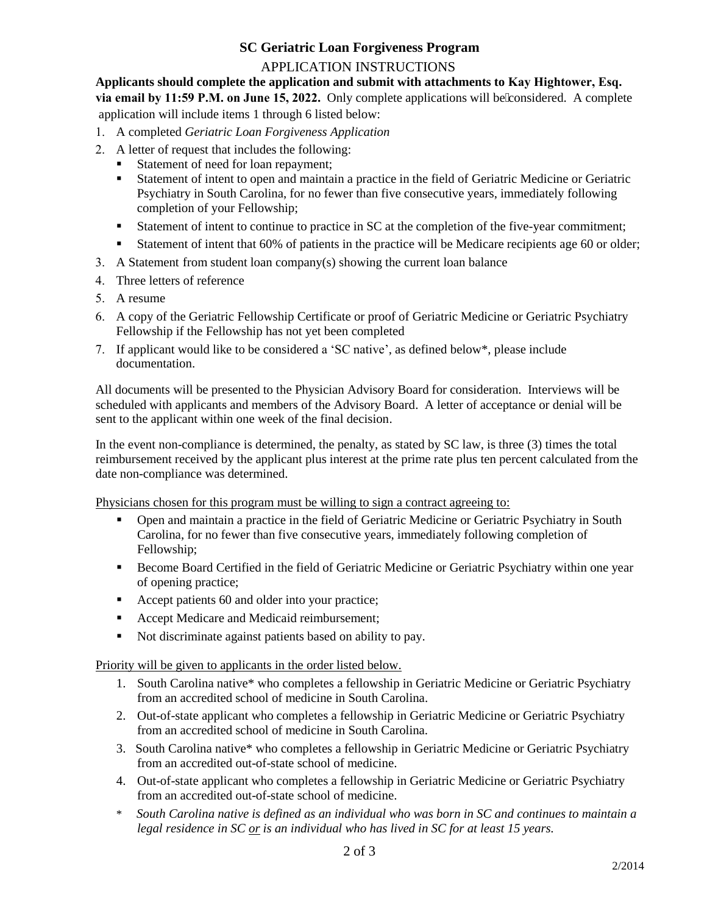## **SC Geriatric Loan Forgiveness Program**

### APPLICATION INSTRUCTIONS

**Applicants should complete the application and submit with attachments to Kay Hightower, Esq.** via email by 11:59 P.M. on June 15, 2022. Only complete applications will be considered. A complete application will include items 1 through 6 listed below:

- 1. A completed *Geriatric Loan Forgiveness Application*
- 2. A letter of request that includes the following:
	- Statement of need for loan repayment;
	- Statement of intent to open and maintain a practice in the field of Geriatric Medicine or Geriatric Psychiatry in South Carolina, for no fewer than five consecutive years, immediately following completion of your Fellowship;
	- Statement of intent to continue to practice in SC at the completion of the five-year commitment;
	- Statement of intent that 60% of patients in the practice will be Medicare recipients age 60 or older;
- 3. A Statement from student loan company(s) showing the current loan balance
- 4. Three letters of reference
- 5. A resume
- 6. A copy of the Geriatric Fellowship Certificate or proof of Geriatric Medicine or Geriatric Psychiatry Fellowship if the Fellowship has not yet been completed
- 7. If applicant would like to be considered a 'SC native', as defined below\*, please include documentation.

All documents will be presented to the Physician Advisory Board for consideration. Interviews will be scheduled with applicants and members of the Advisory Board. A letter of acceptance or denial will be sent to the applicant within one week of the final decision.

In the event non-compliance is determined, the penalty, as stated by SC law, is three (3) times the total reimbursement received by the applicant plus interest at the prime rate plus ten percent calculated from the date non-compliance was determined.

Physicians chosen for this program must be willing to sign a contract agreeing to:

- Open and maintain a practice in the field of Geriatric Medicine or Geriatric Psychiatry in South Carolina, for no fewer than five consecutive years, immediately following completion of Fellowship;
- **Become Board Certified in the field of Geriatric Medicine or Geriatric Psychiatry within one year** of opening practice;
- Accept patients 60 and older into your practice;
- Accept Medicare and Medicaid reimbursement;
- Not discriminate against patients based on ability to pay.

Priority will be given to applicants in the order listed below.

- 1. South Carolina native\* who completes a fellowship in Geriatric Medicine or Geriatric Psychiatry from an accredited school of medicine in South Carolina.
- 2. Out-of-state applicant who completes a fellowship in Geriatric Medicine or Geriatric Psychiatry from an accredited school of medicine in South Carolina.
- 3. South Carolina native\* who completes a fellowship in Geriatric Medicine or Geriatric Psychiatry from an accredited out-of-state school of medicine.
- 4. Out-of-state applicant who completes a fellowship in Geriatric Medicine or Geriatric Psychiatry from an accredited out-of-state school of medicine.
- \* *South Carolina native is defined as an individual who was born in SC and continues to maintain a legal residence in SC or is an individual who has lived in SC for at least 15 years.*